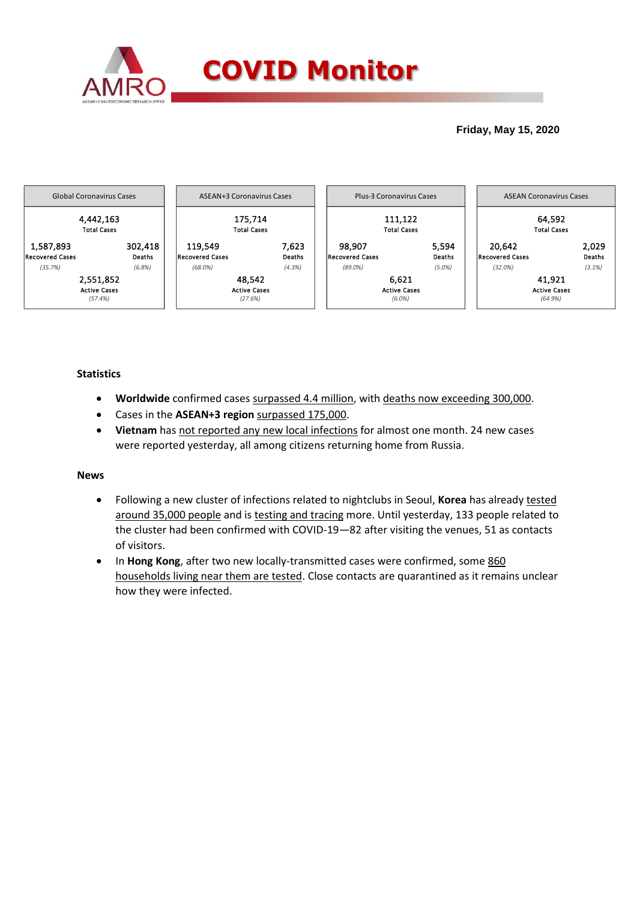

## **Friday, May 15, 2020**



## **Statistics**

- **Worldwide** confirmed cases surpassed 4.4 million, with deaths now exceeding 300,000.
- Cases in the **ASEAN+3 region** surpassed 175,000.
- **Vietnam** has not reported any new local infections for almost one month. 24 new cases were reported yesterday, all among citizens returning home from Russia.

## **News**

- Following a new cluster of infections related to nightclubs in Seoul, **Korea** has already tested around 35,000 people and is testing and tracing more. Until yesterday, 133 people related to the cluster had been confirmed with COVID-19—82 after visiting the venues, 51 as contacts of visitors.
- In **Hong Kong**, after two new locally-transmitted cases were confirmed, some 860 households living near them are tested. Close contacts are quarantined as it remains unclear how they were infected.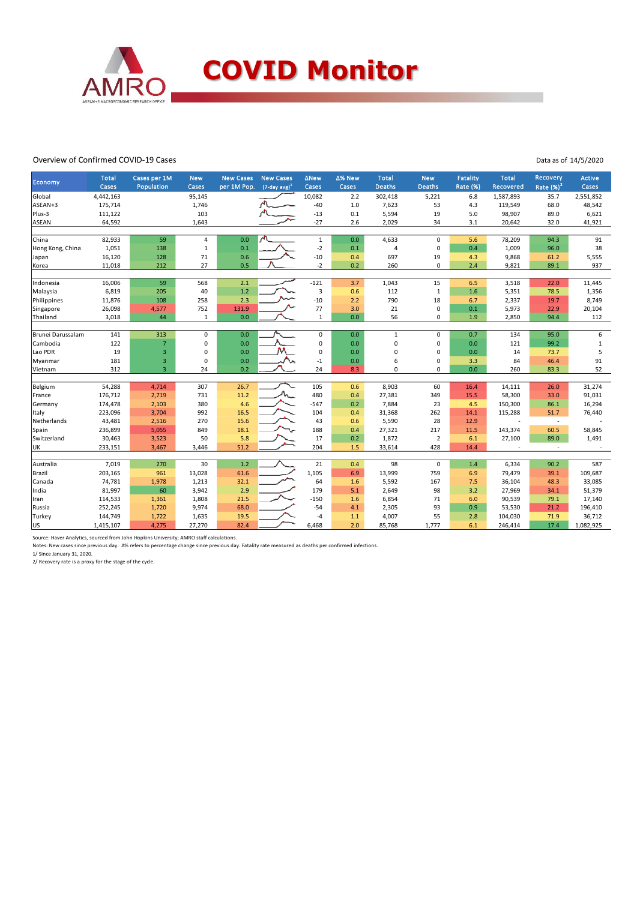

### Overview of Confirmed COVID-19 Cases

Data as of 14/5/2020

| Economy           | <b>Total</b> | Cases per 1M<br>Population | <b>New</b>   | <b>New Cases</b> | <b>New Cases</b><br>$(7$ -day avg) <sup>1</sup> | $\triangle$ New | ∆% New | <b>Total</b><br><b>Deaths</b> | <b>New</b><br><b>Deaths</b> | Fatality | <b>Total</b> | Recovery                 | Active    |
|-------------------|--------------|----------------------------|--------------|------------------|-------------------------------------------------|-----------------|--------|-------------------------------|-----------------------------|----------|--------------|--------------------------|-----------|
|                   | Cases        |                            | Cases        | per 1M Pop.      |                                                 | Cases           | Cases  |                               |                             | Rate (%) | Recovered    | Rate $(%)2$              | Cases     |
| Global            | 4,442,163    |                            | 95,145       |                  |                                                 | 10,082          | 2.2    | 302,418                       | 5,221                       | 6.8      | 1,587,893    | 35.7                     | 2,551,852 |
| ASEAN+3           | 175,714      |                            | 1,746        |                  |                                                 | $-40$           | 1.0    | 7,623                         | 53                          | 4.3      | 119,549      | 68.0                     | 48,542    |
| Plus-3            | 111,122      |                            | 103          |                  |                                                 | $-13$           | 0.1    | 5,594                         | 19                          | 5.0      | 98,907       | 89.0                     | 6,621     |
| <b>ASEAN</b>      | 64,592       |                            | 1,643        |                  |                                                 | $-27$           | 2.6    | 2,029                         | 34                          | 3.1      | 20,642       | 32.0                     | 41,921    |
| China             | 82,933       | 59                         | 4            | 0.0              |                                                 | $\mathbf{1}$    | 0.0    | 4,633                         | 0                           | 5.6      | 78,209       | 94.3                     | 91        |
| Hong Kong, China  | 1,051        | 138                        | $\mathbf{1}$ | 0.1              |                                                 | $-2$            | 0.1    | $\overline{4}$                | $\pmb{0}$                   | 0.4      | 1,009        | 96.0                     | 38        |
| Japan             | 16,120       | 128                        | 71           | 0.6              |                                                 | $-10$           | 0.4    | 697                           | 19                          | 4.3      | 9,868        | 61.2                     | 5,555     |
| Korea             | 11,018       | 212                        | 27           | 0.5              |                                                 | $-2$            | 0.2    | 260                           | $\mathbf 0$                 | 2.4      | 9,821        | 89.1                     | 937       |
|                   |              |                            |              |                  |                                                 |                 |        |                               |                             |          |              |                          |           |
| Indonesia         | 16,006       | 59                         | 568          | 2.1              |                                                 | $-121$          | 3.7    | 1,043                         | 15                          | 6.5      | 3,518        | 22.0                     | 11,445    |
| Malaysia          | 6,819        | 205                        | 40           | 1.2              |                                                 | $\overline{3}$  | 0.6    | 112                           | $\mathbf{1}$                | 1.6      | 5,351        | 78.5                     | 1,356     |
| Philippines       | 11,876       | 108                        | 258          | 2.3              |                                                 | $-10$           | 2.2    | 790                           | 18                          | 6.7      | 2,337        | 19.7                     | 8,749     |
| Singapore         | 26,098       | 4,577                      | 752          | 131.9            |                                                 | 77              | 3.0    | 21                            | $\pmb{0}$                   | 0.1      | 5,973        | 22.9                     | 20,104    |
| Thailand          | 3,018        | 44                         | $\mathbf{1}$ | 0.0              |                                                 | $\mathbf{1}$    | 0.0    | 56                            | 0                           | 1.9      | 2,850        | 94.4                     | 112       |
|                   |              |                            |              |                  |                                                 |                 |        |                               |                             |          |              |                          |           |
| Brunei Darussalam | 141          | 313                        | $\mathbf 0$  | 0.0              |                                                 | $\mathsf 0$     | 0.0    | $\mathbf{1}$                  | $\pmb{0}$                   | 0.7      | 134          | 95.0                     | 6         |
| Cambodia          | 122          | $\overline{7}$             | 0            | 0.0              |                                                 | $\mathbf 0$     | 0.0    | $\mathbf 0$                   | 0                           | 0.0      | 121          | 99.2                     | $\,1\,$   |
| Lao PDR           | 19           | 3                          | $\mathbf 0$  | 0.0              |                                                 | $\mathbf 0$     | 0.0    | $\mathbf 0$                   | $\pmb{0}$                   | 0.0      | 14           | 73.7                     | 5         |
| Myanmar           | 181          | 3                          | 0            | 0.0              |                                                 | $-1$            | 0.0    | 6                             | 0                           | 3.3      | 84           | 46.4                     | 91        |
| Vietnam           | 312          | $\overline{3}$             | 24           | 0.2              |                                                 | 24              | 8.3    | $\mathbf 0$                   | 0                           | 0.0      | 260          | 83.3                     | 52        |
| Belgium           | 54,288       | 4,714                      | 307          | 26.7             |                                                 | 105             | 0.6    | 8,903                         | 60                          | 16.4     | 14,111       | 26.0                     | 31,274    |
| France            | 176,712      | 2,719                      | 731          | 11.2             |                                                 | 480             | 0.4    | 27,381                        | 349                         | 15.5     | 58,300       | 33.0                     | 91,031    |
| Germany           | 174,478      | 2,103                      | 380          | 4.6              |                                                 | $-547$          | 0.2    | 7,884                         | 23                          | 4.5      | 150,300      | 86.1                     | 16,294    |
| Italy             | 223,096      | 3,704                      | 992          | 16.5             |                                                 | 104             | 0.4    | 31,368                        | 262                         | 14.1     | 115,288      | 51.7                     | 76,440    |
| Netherlands       | 43,481       | 2,516                      | 270          | 15.6             |                                                 | 43              | 0.6    | 5,590                         | 28                          | 12.9     |              | $\overline{\phantom{a}}$ |           |
| Spain             | 236,899      | 5,055                      | 849          | 18.1             |                                                 | 188             | 0.4    | 27,321                        | 217                         | 11.5     | 143,374      | 60.5                     | 58,845    |
| Switzerland       | 30,463       | 3,523                      | 50           | 5.8              |                                                 | 17              | 0.2    | 1,872                         | $\overline{2}$              | 6.1      | 27,100       | 89.0                     | 1,491     |
| UK                | 233,151      | 3,467                      | 3,446        | 51.2             |                                                 | 204             | 1.5    | 33,614                        | 428                         | 14.4     |              | $\sim$                   |           |
|                   |              |                            |              |                  |                                                 |                 |        |                               |                             |          |              |                          |           |
| Australia         | 7,019        | 270                        | 30           | 1.2              |                                                 | 21              | 0.4    | 98                            | $\mathbf 0$                 | 1.4      | 6,334        | 90.2                     | 587       |
| Brazil            | 203,165      | 961                        | 13,028       | 61.6             |                                                 | 1,105           | 6.9    | 13,999                        | 759                         | 6.9      | 79,479       | 39.1                     | 109,687   |
| Canada            | 74,781       | 1,978                      | 1,213        | 32.1             |                                                 | 64              | 1.6    | 5,592                         | 167                         | 7.5      | 36,104       | 48.3                     | 33,085    |
| India             | 81,997       | 60                         | 3,942        | 2.9              |                                                 | 179             | 5.1    | 2,649                         | 98                          | 3.2      | 27,969       | 34.1                     | 51,379    |
| Iran              | 114,533      | 1,361                      | 1,808        | 21.5             |                                                 | $-150$          | 1.6    | 6,854                         | 71                          | 6.0      | 90,539       | 79.1                     | 17,140    |
| Russia            | 252,245      | 1,720                      | 9,974        | 68.0             |                                                 | $-54$           | 4.1    | 2,305                         | 93                          | 0.9      | 53,530       | 21.2                     | 196,410   |
| Turkey            | 144,749      | 1,722                      | 1,635        | 19.5             |                                                 | $-4$            | 1.1    | 4,007                         | 55                          | 2.8      | 104,030      | 71.9                     | 36,712    |
| lus               | 1,415,107    | 4,275                      | 27,270       | 82.4             |                                                 | 6,468           | 2.0    | 85,768                        | 1,777                       | 6.1      | 246,414      | 17.4                     | 1,082,925 |

Source: Haver Analytics, sourced from John Hopkins University; AMRO staff calculations.

Notes: New cases since previous day. Δ% refers to percentage change since previous day. Fatality rate measured as deaths per confirmed infections.

1/ Since January 31, 2020. 2/ Recovery rate is a proxy for the stage of the cycle.